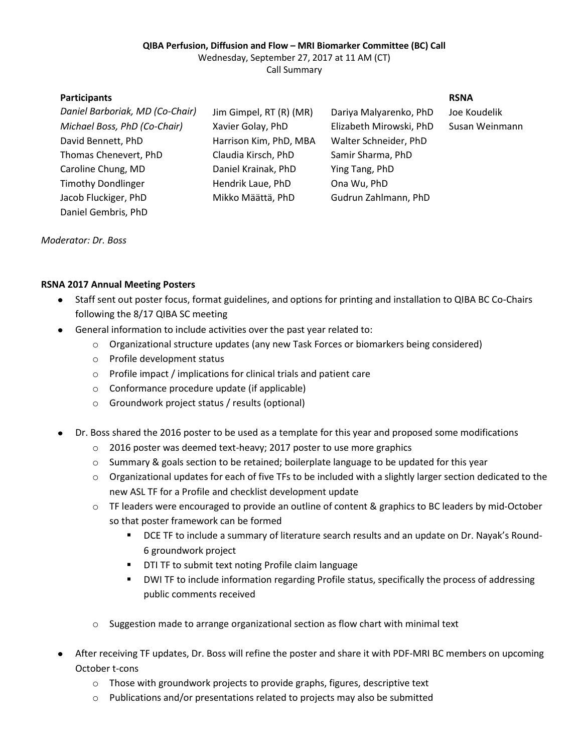### **QIBA Perfusion, Diffusion and Flow – MRI Biomarker Committee (BC) Call**

Wednesday, September 27, 2017 at 11 AM (CT)

Call Summary

## **Participants RSNA**

| Daniel Barboriak, MD (Co-Chair) | Jim Gimpel, RT (R) (MR) | Dariya Malyarenko, PhD  | Joe Koudelik |
|---------------------------------|-------------------------|-------------------------|--------------|
| Michael Boss, PhD (Co-Chair)    | Xavier Golay, PhD       | Elizabeth Mirowski, PhD | Susan Weinr  |
| David Bennett, PhD              | Harrison Kim, PhD, MBA  | Walter Schneider, PhD   |              |
| Thomas Chenevert, PhD           | Claudia Kirsch, PhD     | Samir Sharma, PhD       |              |
| Caroline Chung, MD              | Daniel Krainak, PhD     | Ying Tang, PhD          |              |
| <b>Timothy Dondlinger</b>       | Hendrik Laue, PhD       | Ona Wu, PhD             |              |
| Jacob Fluckiger, PhD            | Mikko Määttä, PhD       | Gudrun Zahlmann, PhD    |              |
| Daniel Gembris, PhD             |                         |                         |              |
|                                 |                         |                         |              |

*Michael Boss, PhD (Co-Chair)* Xavier Golay, PhD Elizabeth Mirowski, PhD Susan Weinmann

*Moderator: Dr. Boss*

# **RSNA 2017 Annual Meeting Posters**

- Staff sent out poster focus, format guidelines, and options for printing and installation to QIBA BC Co-Chairs  $\bullet$ following the 8/17 QIBA SC meeting
- General information to include activities over the past year related to:
	- o Organizational structure updates (any new Task Forces or biomarkers being considered)
	- o Profile development status
	- o Profile impact / implications for clinical trials and patient care
	- o Conformance procedure update (if applicable)
	- o Groundwork project status / results (optional)
- Dr. Boss shared the 2016 poster to be used as a template for this year and proposed some modifications  $\bullet$ 
	- o 2016 poster was deemed text-heavy; 2017 poster to use more graphics
	- o Summary & goals section to be retained; boilerplate language to be updated for this year
	- $\circ$  Organizational updates for each of five TFs to be included with a slightly larger section dedicated to the new ASL TF for a Profile and checklist development update
	- o TF leaders were encouraged to provide an outline of content & graphics to BC leaders by mid-October so that poster framework can be formed
		- **DCE TF to include a summary of literature search results and an update on Dr. Nayak's Round-**6 groundwork project
		- **DTI TF to submit text noting Profile claim language**
		- DWI TF to include information regarding Profile status, specifically the process of addressing public comments received
	- $\circ$  Suggestion made to arrange organizational section as flow chart with minimal text
- After receiving TF updates, Dr. Boss will refine the poster and share it with PDF-MRI BC members on upcoming October t-cons
	- o Those with groundwork projects to provide graphs, figures, descriptive text
	- o Publications and/or presentations related to projects may also be submitted